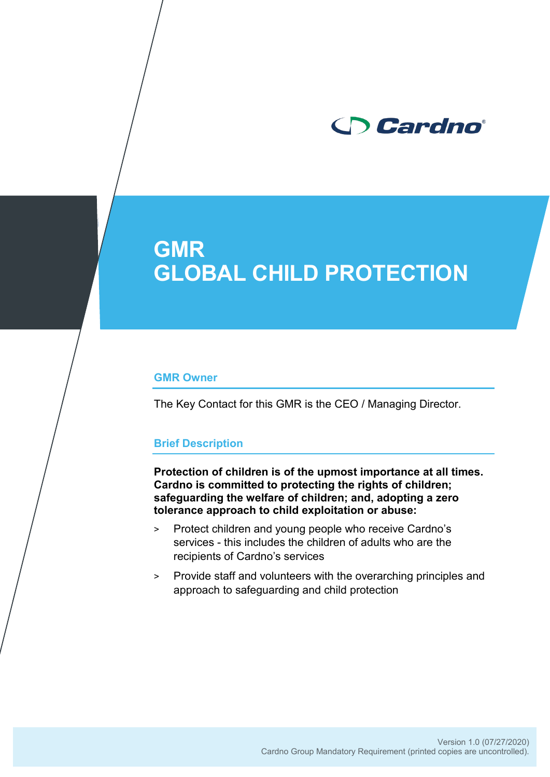

#### **GMR Owner**

The Key Contact for this GMR is the CEO / Managing Director.

#### **Brief Description**

**Protection of children is of the upmost importance at all times. Cardno is committed to protecting the rights of children; safeguarding the welfare of children; and, adopting a zero tolerance approach to child exploitation or abuse:**

- > Protect children and young people who receive Cardno's services - this includes the children of adults who are the recipients of Cardno's services
- > Provide staff and volunteers with the overarching principles and approach to safeguarding and child protection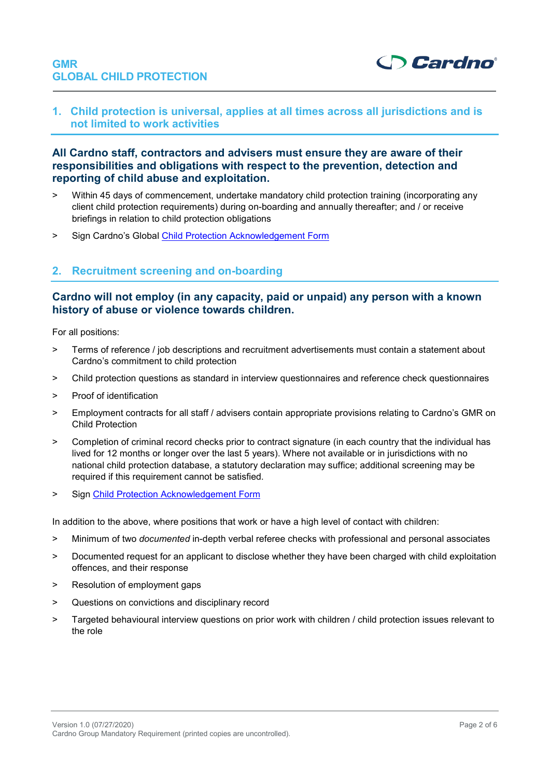

**1. Child protection is universal, applies at all times across all jurisdictions and is not limited to work activities**

# **All Cardno staff, contractors and advisers must ensure they are aware of their responsibilities and obligations with respect to the prevention, detection and reporting of child abuse and exploitation.**

- > Within 45 days of commencement, undertake mandatory child protection training (incorporating any client child protection requirements) during on-boarding and annually thereafter; and / or receive briefings in relation to child protection obligations
- > Sign Cardno's Global [Child Protection Acknowledgement Form](https://intranet.au.cardno.com/Resources/HR/Documents/Child%20Protection%20Code%20of%20Conduct%20and%20Acknowledgement%20Form.pdf)

# **2. Recruitment screening and on-boarding**

# **Cardno will not employ (in any capacity, paid or unpaid) any person with a known history of abuse or violence towards children.**

For all positions:

- > Terms of reference / job descriptions and recruitment advertisements must contain a statement about Cardno's commitment to child protection
- > Child protection questions as standard in interview questionnaires and reference check questionnaires
- > Proof of identification
- > Employment contracts for all staff / advisers contain appropriate provisions relating to Cardno's GMR on Child Protection
- > Completion of criminal record checks prior to contract signature (in each country that the individual has lived for 12 months or longer over the last 5 years). Where not available or in jurisdictions with no national child protection database, a statutory declaration may suffice; additional screening may be required if this requirement cannot be satisfied.
- > Sign [Child Protection Acknowledgement Form](https://intranet.au.cardno.com/Resources/HR/Documents/Child%20Protection%20Code%20of%20Conduct%20and%20Acknowledgement%20Form.pdf)

In addition to the above, where positions that work or have a high level of contact with children:

- ˃ Minimum of two *documented* in-depth verbal referee checks with professional and personal associates
- ˃ Documented request for an applicant to disclose whether they have been charged with child exploitation offences, and their response
- > Resolution of employment gaps
- ˃ Questions on convictions and disciplinary record
- > Targeted behavioural interview questions on prior work with children / child protection issues relevant to the role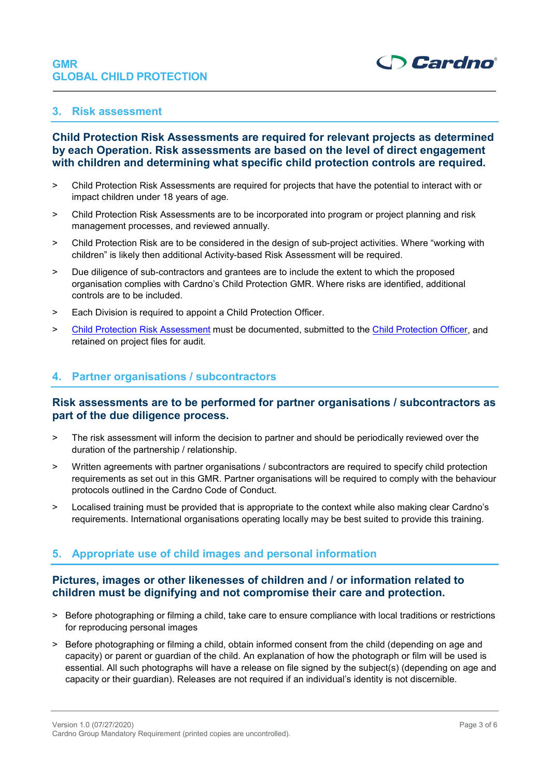

#### **3. Risk assessment**

# **[Child Protection Risk Assessments](https://intranet.au.cardno.com/Resources/HR/Documents/Global%20Child%20Protection%20Risk%20Assessment%20Template.pdfhttps:/intranet.au.cardno.com/Resources/HR/Documents/Global%20Child%20Protection%20Risk%20Assessment%20Template.pdf) are required for relevant projects as determined by each Operation. Risk assessments are based on the level of direct engagement with children and determining what specific child protection controls are required.**

- > Child Protection Risk Assessments are required for projects that have the potential to interact with or impact children under 18 years of age.
- > Child Protection Risk Assessments are to be incorporated into program or project planning and risk management processes, and reviewed annually.
- > Child Protection Risk are to be considered in the design of sub-project activities. Where "working with children" is likely then additional Activity-based Risk Assessment will be required.
- > Due diligence of sub-contractors and grantees are to include the extent to which the proposed organisation complies with Cardno's Child Protection GMR. Where risks are identified, additional controls are to be included.
- > Each Division is required to appoint a Child Protection Officer.
- > [Child Protection Risk Assessment](https://intranet.au.cardno.com/Resources/HR/Documents/Global%20Child%20Protection%20Risk%20Assessment%20Template.pdfhttps:/intranet.au.cardno.com/Resources/HR/Documents/Global%20Child%20Protection%20Risk%20Assessment%20Template.pdf) must be documented, submitted to the [Child Protection Officer,](mailto:child.protection@cardno.com?subject=Child%20Protection%20Matter) and retained on project files for audit.

#### **4. Partner organisations / subcontractors**

#### **Risk assessments are to be performed for partner organisations / subcontractors as part of the due diligence process.**

- > The risk assessment will inform the decision to partner and should be periodically reviewed over the duration of the partnership / relationship.
- > Written agreements with partner organisations / subcontractors are required to specify child protection requirements as set out in this GMR. Partner organisations will be required to comply with the behaviour protocols outlined in the [Cardno Code of Conduct.](https://intranet.au.cardno.com/Divisions/EmergingMarkets/ChildProtection/Documents/ID%20AP%20Child%20Protection%20Acknowledgement%20Form.docx)
- > Localised training must be provided that is appropriate to the context while also making clear Cardno's requirements. International organisations operating locally may be best suited to provide this training.

# **5. Appropriate use of child images and personal information**

# **Pictures, images or other likenesses of children and / or information related to children must be dignifying and not compromise their care and protection.**

- > Before photographing or filming a child, take care to ensure compliance with local traditions or restrictions for reproducing personal images
- > Before photographing or filming a child, obtain informed consent from the child (depending on age and capacity) or parent or guardian of the child. An explanation of how the photograph or film will be used is essential. All such photographs will have a release on file signed by the subject(s) (depending on age and capacity or their guardian). Releases are not required if an individual's identity is not discernible.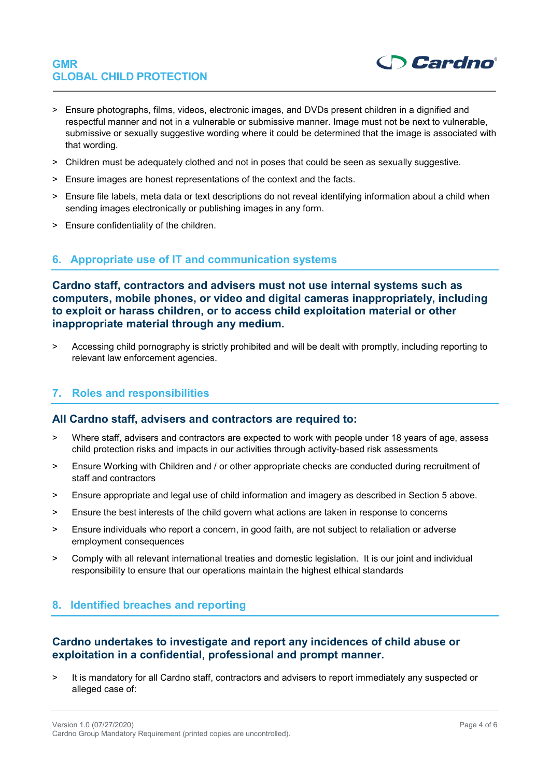

- > Ensure photographs, films, videos, electronic images, and DVDs present children in a dignified and respectful manner and not in a vulnerable or submissive manner. Image must not be next to vulnerable, submissive or sexually suggestive wording where it could be determined that the image is associated with that wording.
- > Children must be adequately clothed and not in poses that could be seen as sexually suggestive.
- > Ensure images are honest representations of the context and the facts.
- > Ensure file labels, meta data or text descriptions do not reveal identifying information about a child when sending images electronically or publishing images in any form.
- > Ensure confidentiality of the children.

# **6. Appropriate use of IT and communication systems**

**Cardno staff, contractors and advisers must not use internal systems such as computers, mobile phones, or video and digital cameras inappropriately, including to exploit or harass children, or to access child exploitation material or other inappropriate material through any medium.** 

> Accessing child pornography is strictly prohibited and will be dealt with promptly, including reporting to relevant law enforcement agencies.

# **7. Roles and responsibilities**

#### **All Cardno staff, advisers and contractors are required to:**

- > Where staff, advisers and contractors are expected to work with people under 18 years of age, assess child protection risks and impacts in our activities through activity-based risk assessments
- > Ensure Working with Children and / or other appropriate checks are conducted during recruitment of staff and contractors
- > Ensure appropriate and legal use of child information and imagery as described in Section 5 above.
- > Ensure the best interests of the child govern what actions are taken in response to concerns
- > Ensure individuals who report a concern, in good faith, are not subject to retaliation or adverse employment consequences
- > Comply with all relevant international treaties and domestic legislation. It is our joint and individual responsibility to ensure that our operations maintain the highest ethical standards

### **8. Identified breaches and reporting**

#### **Cardno undertakes to investigate and report any incidences of child abuse or exploitation in a confidential, professional and prompt manner.**

> It is mandatory for all Cardno staff, contractors and advisers to report immediately any suspected or alleged case of: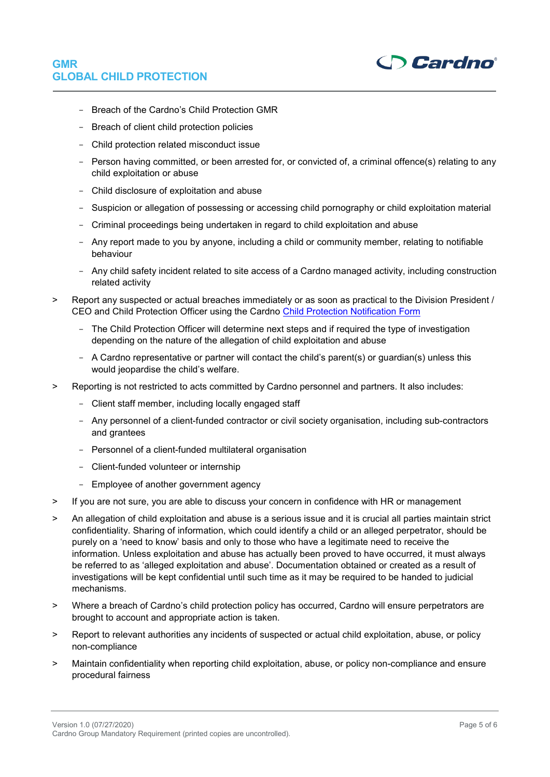

- Breach of the Cardno's Child Protection GMR
- Breach of client child protection policies
- Child protection related misconduct issue
- Person having committed, or been arrested for, or convicted of, a criminal offence(s) relating to any child exploitation or abuse
- Child disclosure of exploitation and abuse
- Suspicion or allegation of possessing or accessing child pornography or child exploitation material
- Criminal proceedings being undertaken in regard to child exploitation and abuse
- Any report made to you by anyone, including a child or community member, relating to notifiable behaviour
- Any child safety incident related to site access of a Cardno managed activity, including construction related activity
- > Report any suspected or actual breaches immediately or as soon as practical to the Division President / CEO and Child Protection Officer using the Cardno [Child Protection Notification Form](https://intranet.au.cardno.com/Resources/HR/Documents/Child%20Protection%20Notification%20Form.pdf)
	- The Child Protection Officer will determine next steps and if required the type of investigation depending on the nature of the allegation of child exploitation and abuse
	- A Cardno representative or partner will contact the child's parent(s) or guardian(s) unless this would jeopardise the child's welfare.
- > Reporting is not restricted to acts committed by Cardno personnel and partners. It also includes:
	- Client staff member, including locally engaged staff
	- Any personnel of a client-funded contractor or civil society organisation, including sub-contractors and grantees
	- Personnel of a client-funded multilateral organisation
	- Client-funded volunteer or internship
	- Employee of another government agency
- > If you are not sure, you are able to discuss your concern in confidence with HR or management
- > An allegation of child exploitation and abuse is a serious issue and it is crucial all parties maintain strict confidentiality. Sharing of information, which could identify a child or an alleged perpetrator, should be purely on a 'need to know' basis and only to those who have a legitimate need to receive the information. Unless exploitation and abuse has actually been proved to have occurred, it must always be referred to as 'alleged exploitation and abuse'. Documentation obtained or created as a result of investigations will be kept confidential until such time as it may be required to be handed to judicial mechanisms.
- > Where a breach of Cardno's child protection policy has occurred, Cardno will ensure perpetrators are brought to account and appropriate action is taken.
- > Report to relevant authorities any incidents of suspected or actual child exploitation, abuse, or policy non-compliance
- > Maintain confidentiality when reporting child exploitation, abuse, or policy non-compliance and ensure procedural fairness